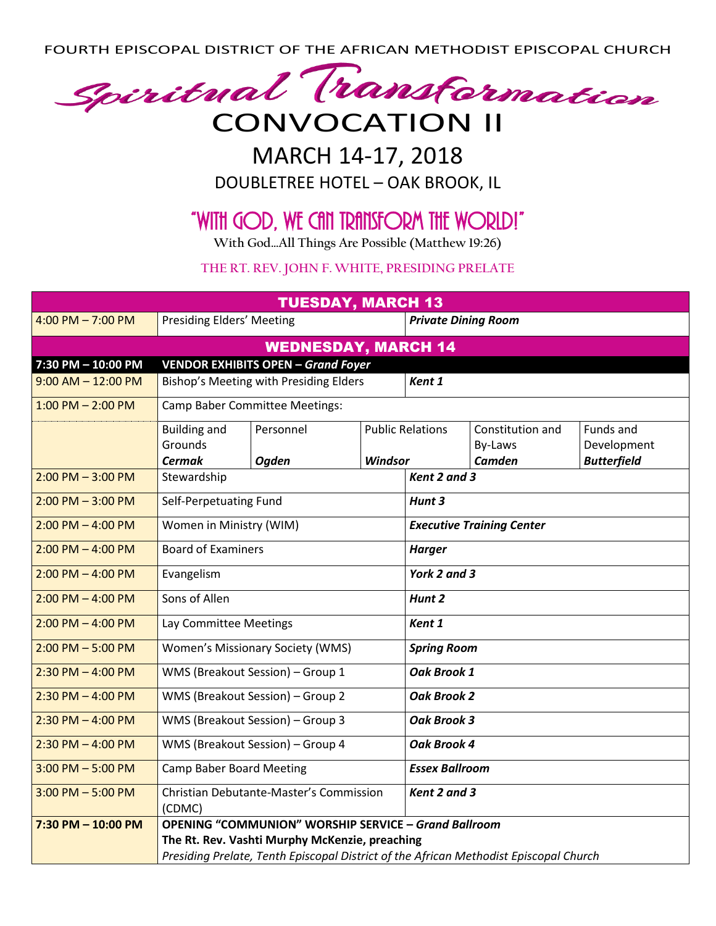FOURTH EPISCOPAL DISTRICT OF THE AFRICAN METHODIST EPISCOPAL CHURCH



## MARCH 14-17, 2018

DOUBLETREE HOTEL – OAK BROOK, IL

## "With God, We Can Transform the World!"

**With God…All Things Are Possible (Matthew 19:26)**

## **THE RT. REV. JOHN F. WHITE, PRESIDING PRELATE**

| <b>TUESDAY, MARCH 13</b>                                        |                                                                                       |              |              |                                  |                  |                    |  |  |
|-----------------------------------------------------------------|---------------------------------------------------------------------------------------|--------------|--------------|----------------------------------|------------------|--------------------|--|--|
| 4:00 PM $- 7:00$ PM                                             | Presiding Elders' Meeting                                                             |              |              | <b>Private Dining Room</b>       |                  |                    |  |  |
| <b>WEDNESDAY, MARCH 14</b>                                      |                                                                                       |              |              |                                  |                  |                    |  |  |
| <b>VENDOR EXHIBITS OPEN - Grand Foyer</b><br>7:30 PM - 10:00 PM |                                                                                       |              |              |                                  |                  |                    |  |  |
| $9:00$ AM $- 12:00$ PM                                          | Bishop's Meeting with Presiding Elders                                                |              |              | Kent 1                           |                  |                    |  |  |
| $1:00$ PM $- 2:00$ PM                                           | <b>Camp Baber Committee Meetings:</b>                                                 |              |              |                                  |                  |                    |  |  |
|                                                                 | <b>Building and</b>                                                                   | Personnel    |              | <b>Public Relations</b>          | Constitution and | Funds and          |  |  |
|                                                                 | Grounds                                                                               |              |              |                                  | By-Laws          | Development        |  |  |
|                                                                 | <b>Cermak</b>                                                                         | <b>Ogden</b> | Windsor      |                                  | <b>Camden</b>    | <b>Butterfield</b> |  |  |
| $2:00$ PM $-3:00$ PM                                            | Stewardship                                                                           | Kent 2 and 3 |              |                                  |                  |                    |  |  |
| $2:00$ PM $-3:00$ PM                                            | Self-Perpetuating Fund                                                                |              |              | Hunt 3                           |                  |                    |  |  |
| $2:00$ PM $-$ 4:00 PM                                           | Women in Ministry (WIM)                                                               |              |              | <b>Executive Training Center</b> |                  |                    |  |  |
| $2:00$ PM $-$ 4:00 PM                                           | <b>Board of Examiners</b>                                                             |              |              | <b>Harger</b>                    |                  |                    |  |  |
| $2:00$ PM $-$ 4:00 PM                                           | Evangelism                                                                            |              |              | York 2 and 3                     |                  |                    |  |  |
| $2:00$ PM $-$ 4:00 PM                                           | Sons of Allen                                                                         |              |              | Hunt 2                           |                  |                    |  |  |
| $2:00$ PM $-$ 4:00 PM                                           | Lay Committee Meetings                                                                |              |              | Kent 1                           |                  |                    |  |  |
| $2:00$ PM $-5:00$ PM                                            | Women's Missionary Society (WMS)                                                      |              |              | <b>Spring Room</b>               |                  |                    |  |  |
| $2:30$ PM $-$ 4:00 PM                                           | WMS (Breakout Session) - Group 1                                                      |              |              | Oak Brook 1                      |                  |                    |  |  |
| $2:30$ PM $-$ 4:00 PM                                           | WMS (Breakout Session) - Group 2                                                      |              |              | <b>Oak Brook 2</b>               |                  |                    |  |  |
| $2:30$ PM $-$ 4:00 PM                                           | WMS (Breakout Session) - Group 3                                                      |              |              | <b>Oak Brook 3</b>               |                  |                    |  |  |
| $2:30$ PM $-$ 4:00 PM                                           | WMS (Breakout Session) - Group 4                                                      |              |              | Oak Brook 4                      |                  |                    |  |  |
| $3:00$ PM $-5:00$ PM                                            | <b>Camp Baber Board Meeting</b>                                                       |              |              | <b>Essex Ballroom</b>            |                  |                    |  |  |
| $3:00$ PM $-5:00$ PM                                            | Christian Debutante-Master's Commission                                               |              | Kent 2 and 3 |                                  |                  |                    |  |  |
|                                                                 | (CDMC)                                                                                |              |              |                                  |                  |                    |  |  |
| 7:30 PM $-$ 10:00 PM                                            | <b>OPENING "COMMUNION" WORSHIP SERVICE - Grand Ballroom</b>                           |              |              |                                  |                  |                    |  |  |
|                                                                 | The Rt. Rev. Vashti Murphy McKenzie, preaching                                        |              |              |                                  |                  |                    |  |  |
|                                                                 | Presiding Prelate, Tenth Episcopal District of the African Methodist Episcopal Church |              |              |                                  |                  |                    |  |  |